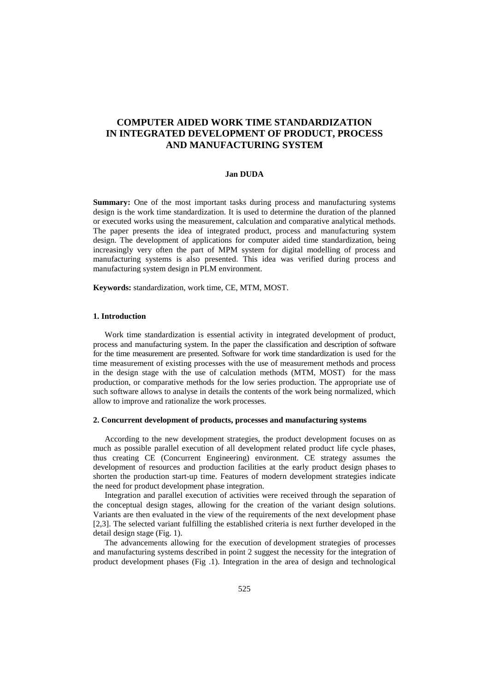# **COMPUTER AIDED WORK TIME STANDARDIZATION IN INTEGRATED DEVELOPMENT OF PRODUCT, PROCESS AND MANUFACTURING SYSTEM**

### **Jan DUDA**

**Summary:** One of the most important tasks during process and manufacturing systems design is the work time standardization. It is used to determine the duration of the planned or executed works using the measurement, calculation and comparative analytical methods. The paper presents the idea of integrated product, process and manufacturing system design. The development of applications for computer aided time standardization, being increasingly very often the part of MPM system for digital modelling of process and manufacturing systems is also presented. This idea was verified during process and manufacturing system design in PLM environment.

**Keywords:** standardization, work time, CE, MTM, MOST.

### **1. Introduction**

Work time standardization is essential activity in integrated development of product, process and manufacturing system. In the paper the classification and description of software for the time measurement are presented. Software for work time standardization is used for the time measurement of existing processes with the use of measurement methods and process in the design stage with the use of calculation methods (MTM, MOST) for the mass production, or comparative methods for the low series production. The appropriate use of such software allows to analyse in details the contents of the work being normalized, which allow to improve and rationalize the work processes.

## **2. Concurrent development of products, processes and manufacturing systems**

According to the new development strategies, the product development focuses on as much as possible parallel execution of all development related product life cycle phases, thus creating CE (Concurrent Engineering) environment. CE strategy assumes the development of resources and production facilities at the early product design phases to shorten the production start-up time. Features of modern development strategies indicate the need for product development phase integration.

Integration and parallel execution of activities were received through the separation of the conceptual design stages, allowing for the creation of the variant design solutions. Variants are then evaluated in the view of the requirements of the next development phase [2,3]. The selected variant fulfilling the established criteria is next further developed in the detail design stage (Fig. 1).

The advancements allowing for the execution of development strategies of processes and manufacturing systems described in point 2 suggest the necessity for the integration of product development phases (Fig .1). Integration in the area of design and technological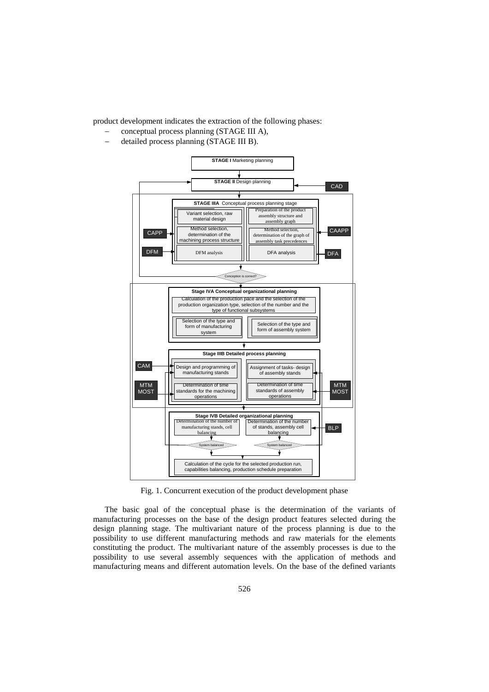product development indicates the extraction of the following phases:

- − conceptual process planning (STAGE III A),
- − detailed process planning (STAGE III B).



Fig. 1. Concurrent execution of the product development phase

The basic goal of the conceptual phase is the determination of the variants of manufacturing processes on the base of the design product features selected during the design planning stage. The multivariant nature of the process planning is due to the possibility to use different manufacturing methods and raw materials for the elements constituting the product. The multivariant nature of the assembly processes is due to the possibility to use several assembly sequences with the application of methods and manufacturing means and different automation levels. On the base of the defined variants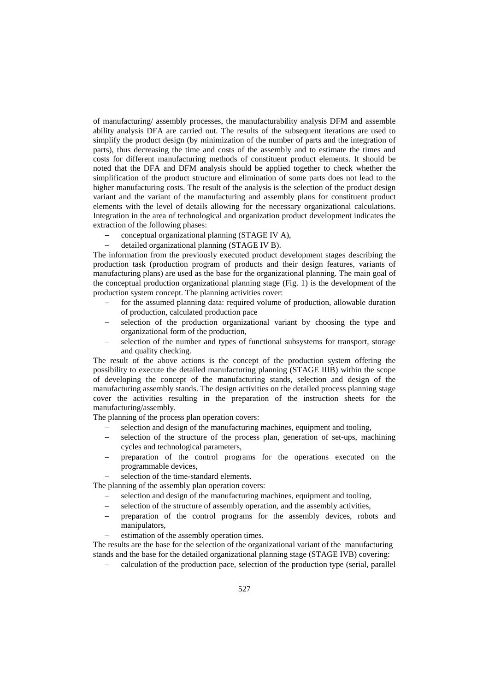of manufacturing/ assembly processes, the manufacturability analysis DFM and assemble ability analysis DFA are carried out. The results of the subsequent iterations are used to simplify the product design (by minimization of the number of parts and the integration of parts), thus decreasing the time and costs of the assembly and to estimate the times and costs for different manufacturing methods of constituent product elements. It should be noted that the DFA and DFM analysis should be applied together to check whether the simplification of the product structure and elimination of some parts does not lead to the higher manufacturing costs. The result of the analysis is the selection of the product design variant and the variant of the manufacturing and assembly plans for constituent product elements with the level of details allowing for the necessary organizational calculations. Integration in the area of technological and organization product development indicates the extraction of the following phases:

- − conceptual organizational planning (STAGE IV A),
- − detailed organizational planning (STAGE IV B).

The information from the previously executed product development stages describing the production task (production program of products and their design features, variants of manufacturing plans) are used as the base for the organizational planning. The main goal of the conceptual production organizational planning stage (Fig. 1) is the development of the production system concept. The planning activities cover:

- for the assumed planning data: required volume of production, allowable duration of production, calculated production pace
- selection of the production organizational variant by choosing the type and organizational form of the production,
- selection of the number and types of functional subsystems for transport, storage and quality checking.

The result of the above actions is the concept of the production system offering the possibility to execute the detailed manufacturing planning (STAGE IIIB) within the scope of developing the concept of the manufacturing stands, selection and design of the manufacturing assembly stands. The design activities on the detailed process planning stage cover the activities resulting in the preparation of the instruction sheets for the manufacturing/assembly.

The planning of the process plan operation covers:

- selection and design of the manufacturing machines, equipment and tooling,
- selection of the structure of the process plan, generation of set-ups, machining cycles and technological parameters,
- preparation of the control programs for the operations executed on the programmable devices,

selection of the time-standard elements.

The planning of the assembly plan operation covers:

- selection and design of the manufacturing machines, equipment and tooling,
- selection of the structure of assembly operation, and the assembly activities,
- preparation of the control programs for the assembly devices, robots and manipulators,
- estimation of the assembly operation times.

The results are the base for the selection of the organizational variant of the manufacturing stands and the base for the detailed organizational planning stage (STAGE IVB) covering:

− calculation of the production pace, selection of the production type (serial, parallel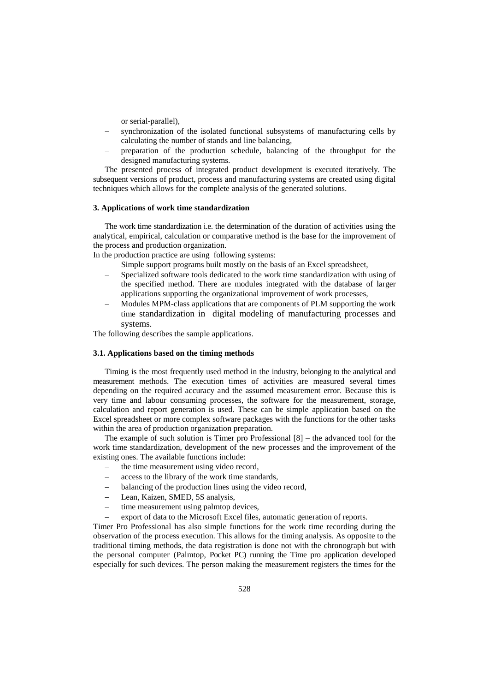or serial-parallel),

- synchronization of the isolated functional subsystems of manufacturing cells by calculating the number of stands and line balancing,
- − preparation of the production schedule, balancing of the throughput for the designed manufacturing systems.

The presented process of integrated product development is executed iteratively. The subsequent versions of product, process and manufacturing systems are created using digital techniques which allows for the complete analysis of the generated solutions.

### **3. Applications of work time standardization**

The work time standardization i.e. the determination of the duration of activities using the analytical, empirical, calculation or comparative method is the base for the improvement of the process and production organization.

In the production practice are using following systems:

- Simple support programs built mostly on the basis of an Excel spreadsheet,
- Specialized software tools dedicated to the work time standardization with using of the specified method. There are modules integrated with the database of larger applications supporting the organizational improvement of work processes,
- Modules MPM-class applications that are components of PLM supporting the work time standardization in digital modeling of manufacturing processes and systems.

The following describes the sample applications.

### **3.1. Applications based on the timing methods**

Timing is the most frequently used method in the industry, belonging to the analytical and measurement methods. The execution times of activities are measured several times depending on the required accuracy and the assumed measurement error. Because this is very time and labour consuming processes, the software for the measurement, storage, calculation and report generation is used. These can be simple application based on the Excel spreadsheet or more complex software packages with the functions for the other tasks within the area of production organization preparation.

The example of such solution is Timer pro Professional [8] – the advanced tool for the work time standardization, development of the new processes and the improvement of the existing ones. The available functions include:

- the time measurement using video record,
- access to the library of the work time standards,
- balancing of the production lines using the video record,
- − Lean, Kaizen, SMED, 5S analysis,
- time measurement using palmtop devices,
- export of data to the Microsoft Excel files, automatic generation of reports.

Timer Pro Professional has also simple functions for the work time recording during the observation of the process execution. This allows for the timing analysis. As opposite to the traditional timing methods, the data registration is done not with the chronograph but with the personal computer (Palmtop, Pocket PC) running the Time pro application developed especially for such devices. The person making the measurement registers the times for the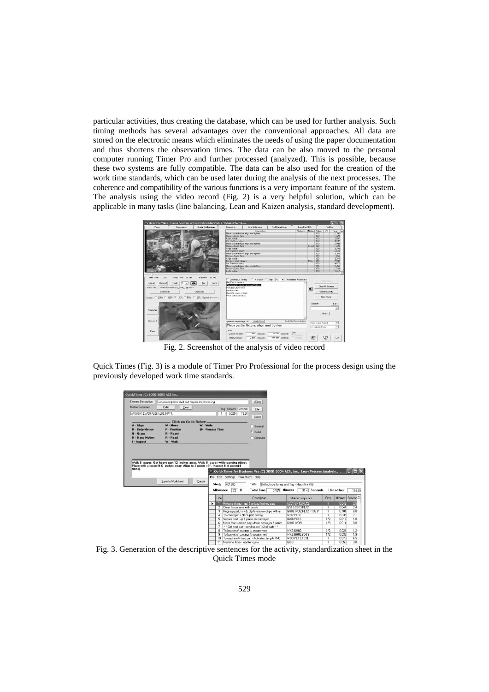particular activities, thus creating the database, which can be used for further analysis. Such timing methods has several advantages over the conventional approaches. All data are stored on the electronic means which eliminates the needs of using the paper documentation and thus shortens the observation times. The data can be also moved to the personal computer running Timer Pro and further processed (analyzed). This is possible, because these two systems are fully compatible. The data can be also used for the creation of the work time standards, which can be used later during the analysis of the next processes. The coherence and compatibility of the various functions is a very important feature of the system. The analysis using the video record (Fig. 2) is a very helpful solution, which can be applicable in many tasks (line balancing, Lean and Kaizen analysis, standard development).



Fig. 2. Screenshot of the analysis of video record

Quick Times (Fig. 3) is a module of Timer Pro Professional for the process design using the previously developed work time standards.

| Element Description           | Get assembly from shelf and prepare for processing                                 |                            |                  |                |                                                                                      | <clear< th=""><th></th><th></th><th></th><th></th><th></th><th></th></clear<> |                                            |           |                       |      |                |                                                                                                          |
|-------------------------------|------------------------------------------------------------------------------------|----------------------------|------------------|----------------|--------------------------------------------------------------------------------------|-------------------------------------------------------------------------------|--------------------------------------------|-----------|-----------------------|------|----------------|----------------------------------------------------------------------------------------------------------|
| Motion Sequence               | Edit                                                                               | Clear                      |                  |                | Minutes Seconds<br>Freq                                                              | File                                                                          |                                            |           |                       |      |                |                                                                                                          |
| WK5.GH12W08.PL06.AL03.INPT4.  |                                                                                    |                            |                  | 0.225<br>13.50 |                                                                                      |                                                                               |                                            |           |                       |      |                |                                                                                                          |
|                               |                                                                                    |                            |                  |                |                                                                                      | Select                                                                        |                                            |           |                       |      |                |                                                                                                          |
|                               |                                                                                    | <b>Click on Code Below</b> |                  |                |                                                                                      |                                                                               |                                            |           |                       |      |                |                                                                                                          |
| A - Alian                     | M - Move                                                                           | W - Write                  |                  |                |                                                                                      | General                                                                       |                                            |           |                       |      |                |                                                                                                          |
| <b>B - Body Motion</b>        | <b>P</b> - Position                                                                |                            | @ - Process Time |                | · Detail                                                                             |                                                                               |                                            |           |                       |      |                |                                                                                                          |
| G - Grasp<br><b>B</b> - Reach |                                                                                    |                            |                  |                |                                                                                      |                                                                               |                                            |           |                       |      |                |                                                                                                          |
| <b>H</b> - Hand Motion        | R - Read                                                                           |                            |                  |                |                                                                                      | Computer                                                                      |                                            |           |                       |      |                |                                                                                                          |
| $W - W$ alk<br>I - Inspect    |                                                                                    |                            |                  |                |                                                                                      |                                                                               |                                            |           |                       |      |                |                                                                                                          |
|                               |                                                                                    |                            |                  |                |                                                                                      |                                                                               |                                            |           |                       |      |                |                                                                                                          |
|                               |                                                                                    |                            |                  |                |                                                                                      |                                                                               |                                            |           |                       |      |                |                                                                                                          |
|                               |                                                                                    |                            |                  |                |                                                                                      |                                                                               |                                            |           |                       |      |                |                                                                                                          |
|                               |                                                                                    |                            |                  |                | Walk 5 paces. Get heavy part 12 inches away. Walk 8 paces while carrying object.     |                                                                               |                                            |           |                       |      |                |                                                                                                          |
|                               |                                                                                    |                            |                  |                |                                                                                      |                                                                               |                                            |           |                       |      |                |                                                                                                          |
|                               |                                                                                    |                            |                  |                |                                                                                      |                                                                               |                                            |           |                       |      |                |                                                                                                          |
| times).                       | Place with a loose fit 6 inches away. Align to 2 points >9". Inspect # of points(4 |                            |                  |                |                                                                                      |                                                                               |                                            |           |                       |      |                |                                                                                                          |
|                               |                                                                                    |                            |                  |                | * QuickTimes for Business Pro (C) 2000-2004 ACS, Inc. Lean Process Analysis          |                                                                               |                                            |           |                       |      |                |                                                                                                          |
|                               |                                                                                    |                            |                  |                | File Edit Settings Time Study Help                                                   |                                                                               |                                            |           |                       |      |                |                                                                                                          |
|                               | Save to Worksheet                                                                  | Cancel                     |                  | Study          | 401200                                                                               | Title                                                                         | Drill outside flange and Tap - Mach No 788 |           |                       |      |                |                                                                                                          |
|                               |                                                                                    |                            |                  | Allowance      | 22 %                                                                                 | <b>Total Time</b>                                                             | 0.525 Minutes                              |           | 31.48 Seconds         |      | Units/Hour     |                                                                                                          |
|                               |                                                                                    |                            |                  | Line           |                                                                                      | Description                                                                   |                                            |           | Motion Sequence       | Freq | Minutes Second |                                                                                                          |
|                               |                                                                                    |                            | ٠                |                | 1 Release clamps, get & unload finished part                                         |                                                                               |                                            |           | AC01.GH12.PL12.       |      | 0.043          |                                                                                                          |
|                               |                                                                                    |                            |                  |                | 2 Clean fisture area with brush                                                      |                                                                               |                                            |           | GS12.CB03.PL12        | 1    | 0.041          |                                                                                                          |
|                               |                                                                                    |                            |                  |                | 3 Regrasp part, to tub, dip & remove chips with air                                  |                                                                               |                                            |           | GH06.WO2.PL12.PT02.PT | 1    | 0.101          |                                                                                                          |
|                               |                                                                                    |                            |                  | 4              | To conveyor & place part on tray                                                     |                                                                               |                                            | W02.PC02  |                       | Ŧ    | 0.035          |                                                                                                          |
|                               |                                                                                    |                            |                  | 5              | Secure next tray & place on conveyor                                                 |                                                                               |                                            | GJ06 PC12 |                       | 1/2  | 0.017          |                                                                                                          |
|                               |                                                                                    |                            |                  | $\overline{6}$ | Move four stacked travs down convevor & return                                       |                                                                               |                                            | GH06 W09  |                       | 1/8  | 0.014          | $\blacksquare$ $\blacksquare$<br>114.29<br>25<br>$\overline{24}$<br>6.0<br>$\overline{21}$<br>1.0<br>0.8 |
|                               |                                                                                    |                            |                  | 7              | ** Get next part - bend to get 1/2 of parts **                                       |                                                                               |                                            |           |                       |      |                |                                                                                                          |
|                               |                                                                                    |                            |                  | $\overline{8}$ | To basket of castings & secure next                                                  |                                                                               |                                            | WK3 GH02  |                       | 1/2  | 0.021          | 1.2                                                                                                      |
|                               |                                                                                    |                            |                  | $\overline{a}$ | To basket of castings & secure next                                                  |                                                                               |                                            |           | WK3.GH02.BDSS.        | 1/2  | 0.032          | 1.9                                                                                                      |
|                               |                                                                                    |                            |                  |                | 10 To machine & load part - Activate clamp & M/C<br>11 Machine Time - wait for cucle |                                                                               |                                            | @\$3      | W03.PE12.AC01.        | ī    | 0.076<br>0.050 | 4.5<br>30                                                                                                |

Fig. 3. Generation of the descriptive sentences for the activity, standardization sheet in the Quick Times mode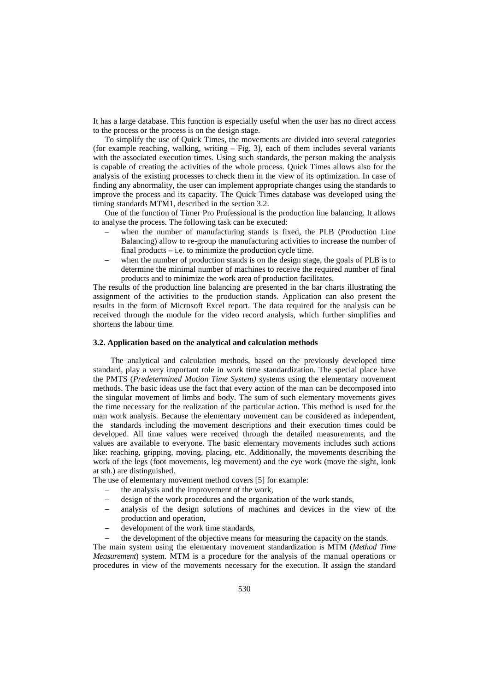It has a large database. This function is especially useful when the user has no direct access to the process or the process is on the design stage.

To simplify the use of Quick Times, the movements are divided into several categories (for example reaching, walking, writing – Fig. 3), each of them includes several variants with the associated execution times. Using such standards, the person making the analysis is capable of creating the activities of the whole process. Quick Times allows also for the analysis of the existing processes to check them in the view of its optimization. In case of finding any abnormality, the user can implement appropriate changes using the standards to improve the process and its capacity. The Quick Times database was developed using the timing standards MTM1, described in the section 3.2.

One of the function of Timer Pro Professional is the production line balancing. It allows to analyse the process. The following task can be executed:

- when the number of manufacturing stands is fixed, the PLB (Production Line Balancing) allow to re-group the manufacturing activities to increase the number of final products – i.e. to minimize the production cycle time.
- when the number of production stands is on the design stage, the goals of PLB is to determine the minimal number of machines to receive the required number of final products and to minimize the work area of production facilitates.

The results of the production line balancing are presented in the bar charts illustrating the assignment of the activities to the production stands. Application can also present the results in the form of Microsoft Excel report. The data required for the analysis can be received through the module for the video record analysis, which further simplifies and shortens the labour time.

### **3.2. Application based on the analytical and calculation methods**

The analytical and calculation methods, based on the previously developed time standard, play a very important role in work time standardization. The special place have the PMTS (*Predetermined Motion Time System)* systems using the elementary movement methods. The basic ideas use the fact that every action of the man can be decomposed into the singular movement of limbs and body. The sum of such elementary movements gives the time necessary for the realization of the particular action. This method is used for the man work analysis. Because the elementary movement can be considered as independent, the standards including the movement descriptions and their execution times could be developed. All time values were received through the detailed measurements, and the values are available to everyone. The basic elementary movements includes such actions like: reaching, gripping, moving, placing, etc. Additionally, the movements describing the work of the legs (foot movements, leg movement) and the eye work (move the sight, look at sth.) are distinguished.

The use of elementary movement method covers [5] for example:

- the analysis and the improvement of the work,
- design of the work procedures and the organization of the work stands,
- analysis of the design solutions of machines and devices in the view of the production and operation,
- − development of the work time standards,
- the development of the objective means for measuring the capacity on the stands.

The main system using the elementary movement standardization is MTM (*Method Time Measurement*) system. MTM is a procedure for the analysis of the manual operations or procedures in view of the movements necessary for the execution. It assign the standard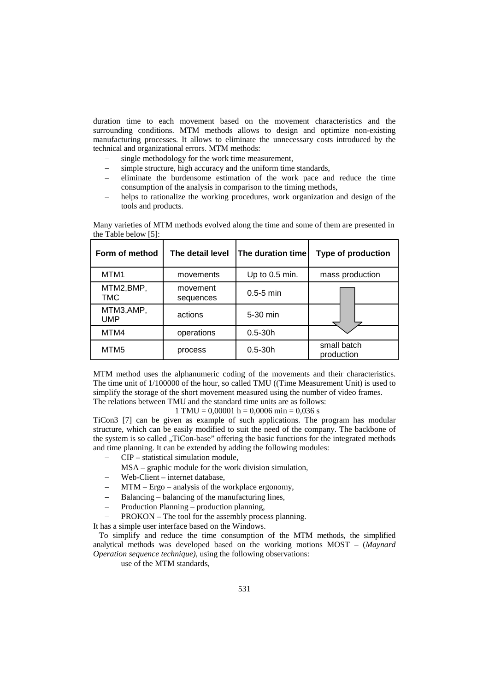duration time to each movement based on the movement characteristics and the surrounding conditions. MTM methods allows to design and optimize non-existing manufacturing processes. It allows to eliminate the unnecessary costs introduced by the technical and organizational errors. MTM methods:

- single methodology for the work time measurement,
- simple structure, high accuracy and the uniform time standards,
- eliminate the burdensome estimation of the work pace and reduce the time consumption of the analysis in comparison to the timing methods,
- helps to rationalize the working procedures, work organization and design of the tools and products.

| Form of method          | The detail level      | <b>The duration time</b> | <b>Type of production</b> |  |  |
|-------------------------|-----------------------|--------------------------|---------------------------|--|--|
| MTM <sub>1</sub>        | movements             | Up to 0.5 min.           | mass production           |  |  |
| MTM2,BMP,<br><b>TMC</b> | movement<br>sequences | $0.5-5$ min              |                           |  |  |
| MTM3,AMP,<br><b>UMP</b> | actions               | 5-30 min                 |                           |  |  |
| MTM4                    | operations            | $0.5 - 30h$              |                           |  |  |
| MTM <sub>5</sub>        | process               | $0.5 - 30h$              | small batch<br>production |  |  |

Many varieties of MTM methods evolved along the time and some of them are presented in the Table below [5]:

MTM method uses the alphanumeric coding of the movements and their characteristics. The time unit of 1/100000 of the hour, so called TMU ((Time Measurement Unit) is used to simplify the storage of the short movement measured using the number of video frames. The relations between TMU and the standard time units are as follows:

 $1 \text{ TMU} = 0.00001 \text{ h} = 0.0006 \text{ min} = 0.036 \text{ s}$ 

TiCon3 [7] can be given as example of such applications. The program has modular structure, which can be easily modified to suit the need of the company. The backbone of the system is so called "TiCon-base" offering the basic functions for the integrated methods and time planning. It can be extended by adding the following modules:

- − CIP statistical simulation module,
- MSA graphic module for the work division simulation,
- Web-Client internet database,
- MTM Ergo analysis of the workplace ergonomy,
- Balancing balancing of the manufacturing lines,
- − Production Planning production planning,
- PROKON The tool for the assembly process planning.

It has a simple user interface based on the Windows.

To simplify and reduce the time consumption of the MTM methods, the simplified analytical methods was developed based on the working motions MOST – (*Maynard Operation sequence technique)*, using the following observations:

− use of the MTM standards,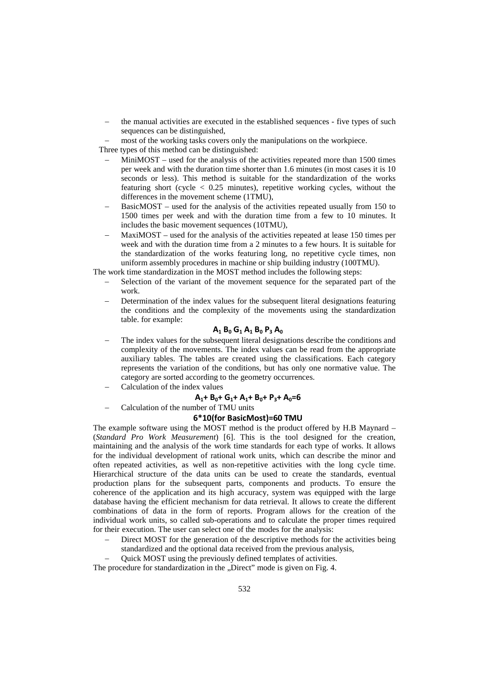- the manual activities are executed in the established sequences five types of such sequences can be distinguished,
- most of the working tasks covers only the manipulations on the workpiece.

Three types of this method can be distinguished:

- MiniMOST used for the analysis of the activities repeated more than 1500 times per week and with the duration time shorter than 1.6 minutes (in most cases it is 10 seconds or less). This method is suitable for the standardization of the works featuring short (cycle < 0.25 minutes), repetitive working cycles, without the differences in the movement scheme (1TMU),
- BasicMOST used for the analysis of the activities repeated usually from 150 to 1500 times per week and with the duration time from a few to 10 minutes. It includes the basic movement sequences (10TMU),
- MaxiMOST used for the analysis of the activities repeated at lease 150 times per week and with the duration time from a 2 minutes to a few hours. It is suitable for the standardization of the works featuring long, no repetitive cycle times, non uniform assembly procedures in machine or ship building industry (100TMU).

The work time standardization in the MOST method includes the following steps:

- Selection of the variant of the movement sequence for the separated part of the work.
- Determination of the index values for the subsequent literal designations featuring the conditions and the complexity of the movements using the standardization table. for example:

### **A1 B0 G1 A1 B0 P3 A0**

- The index values for the subsequent literal designations describe the conditions and complexity of the movements. The index values can be read from the appropriate auxiliary tables. The tables are created using the classifications. Each category represents the variation of the conditions, but has only one normative value. The category are sorted according to the geometry occurrences.
- − Calculation of the index values

## $A_1$ + B<sub>0</sub>+ G<sub>1</sub>+ A<sub>1</sub>+ B<sub>0</sub>+ P<sub>3</sub>+ A<sub>0</sub>=6

− Calculation of the number of TMU units

## **6\*10(for BasicMost)=60 TMU**

The example software using the MOST method is the product offered by H.B Maynard – (*Standard Pro Work Measurement*) [6]. This is the tool designed for the creation, maintaining and the analysis of the work time standards for each type of works. It allows for the individual development of rational work units, which can describe the minor and often repeated activities, as well as non-repetitive activities with the long cycle time. Hierarchical structure of the data units can be used to create the standards, eventual production plans for the subsequent parts, components and products. To ensure the coherence of the application and its high accuracy, system was equipped with the large database having the efficient mechanism for data retrieval. It allows to create the different combinations of data in the form of reports. Program allows for the creation of the individual work units, so called sub-operations and to calculate the proper times required for their execution. The user can select one of the modes for the analysis:

- Direct MOST for the generation of the descriptive methods for the activities being standardized and the optional data received from the previous analysis,
- Quick MOST using the previously defined templates of activities.

The procedure for standardization in the "Direct" mode is given on Fig. 4.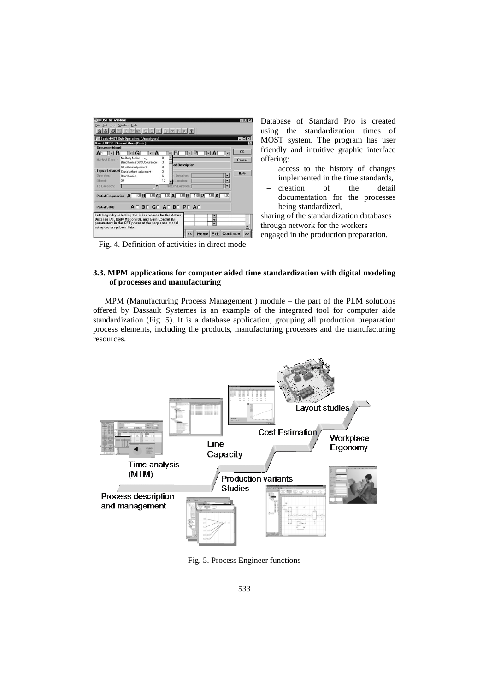| Edit<br>8181691           | The Window Help<br>$8$ <b>B</b> $B$ $B$ $I$ $I$ $R$ $m$ $I$ $\Psi$<br><b>BasicMOST Sub-Operation: (Unassigned)</b> |                    |                    |                |    | $ \Box$ x<br>$\overline{\mathbf{x}}$ |
|---------------------------|--------------------------------------------------------------------------------------------------------------------|--------------------|--------------------|----------------|----|--------------------------------------|
| <b>Sequence Model</b>     | Direct MOST: General Move [Basic]                                                                                  |                    |                    |                |    |                                      |
| $A^+$ $\Box$ $B^+$        | $   \cdot   $ A<br>$\lvert \cdot \rvert$ G                                                                         | ▾                  | вг<br>$\mathbf{F}$ | $\mathbf{F}$ A | Ш× | OK                                   |
| Method Desc :             | No Body Motion<br>$\pi$<br><b>Bend &amp; Arise 50% Occurrence</b><br>Sit without adjustment                        | $\Omega$<br>3<br>3 | lod Description    |                |    | Cancel                               |
|                           | Layout Informati Stand without adjustment                                                                          |                    |                    |                |    | Help                                 |
| <b>Operator:</b>          | Rend & Arise                                                                                                       | g                  | Location           |                | s  |                                      |
| <b>B</b> biech            | Sk                                                                                                                 | 10                 | Location:          |                | Ξ  |                                      |
| To Location:              |                                                                                                                    | ×                  | Return Location:   |                | ≖  |                                      |
| <b>Partial SIMO</b>       | Partial Frequencies A 1.00 B 1.00 G 1.00 A 1.00 B 1.00 P 1.00 A 1.00<br>AFBEGEAFBEPEAF                             |                    |                    |                |    |                                      |
|                           | Lets begin by selecting the index values for the Action                                                            |                    |                    |                |    |                                      |
|                           | Distance (A), Body Motion (B), and Gain Control (G)<br>parameters in the GET phase of the sequence model           |                    |                    | ٠<br>٠         |    |                                      |
| using the dropdown lists. |                                                                                                                    |                    |                    |                |    |                                      |

Fig. 4. Definition of activities in direct mode

Database of Standard Pro is created using the standardization times of MOST system. The program has user friendly and intuitive graphic interface offering:

- − access to the history of changes implemented in the time standards,
- − creation of the detail documentation for the processes being standardized,

sharing of the standardization databases through network for the workers

engaged in the production preparation.

## **3.3. MPM applications for computer aided time standardization with digital modeling of processes and manufacturing**

MPM (Manufacturing Process Management ) module – the part of the PLM solutions offered by Dassault Systemes is an example of the integrated tool for computer aide standardization (Fig. 5). It is a database application, grouping all production preparation process elements, including the products, manufacturing processes and the manufacturing resources.



Fig. 5. Process Engineer functions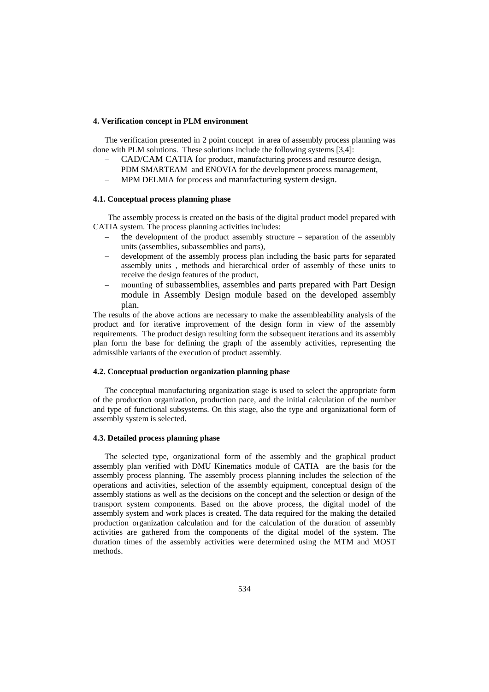## **4. Verification concept in PLM environment**

The verification presented in 2 point concept in area of assembly process planning was done with PLM solutions. These solutions include the following systems [3,4]:

- CAD/CAM CATIA for product, manufacturing process and resource design,
- PDM SMARTEAM and ENOVIA for the development process management,
- MPM DELMIA for process and manufacturing system design.

## **4.1. Conceptual process planning phase**

The assembly process is created on the basis of the digital product model prepared with CATIA system. The process planning activities includes:

- the development of the product assembly structure separation of the assembly units (assemblies, subassemblies and parts),
- development of the assembly process plan including the basic parts for separated assembly units , methods and hierarchical order of assembly of these units to receive the design features of the product,
- mounting of subassemblies, assembles and parts prepared with Part Design module in Assembly Design module based on the developed assembly plan.

The results of the above actions are necessary to make the assembleability analysis of the product and for iterative improvement of the design form in view of the assembly requirements. The product design resulting form the subsequent iterations and its assembly plan form the base for defining the graph of the assembly activities, representing the admissible variants of the execution of product assembly.

## **4.2. Conceptual production organization planning phase**

The conceptual manufacturing organization stage is used to select the appropriate form of the production organization, production pace, and the initial calculation of the number and type of functional subsystems. On this stage, also the type and organizational form of assembly system is selected.

### **4.3. Detailed process planning phase**

The selected type, organizational form of the assembly and the graphical product assembly plan verified with DMU Kinematics module of CATIA are the basis for the assembly process planning. The assembly process planning includes the selection of the operations and activities, selection of the assembly equipment, conceptual design of the assembly stations as well as the decisions on the concept and the selection or design of the transport system components. Based on the above process, the digital model of the assembly system and work places is created. The data required for the making the detailed production organization calculation and for the calculation of the duration of assembly activities are gathered from the components of the digital model of the system. The duration times of the assembly activities were determined using the MTM and MOST methods.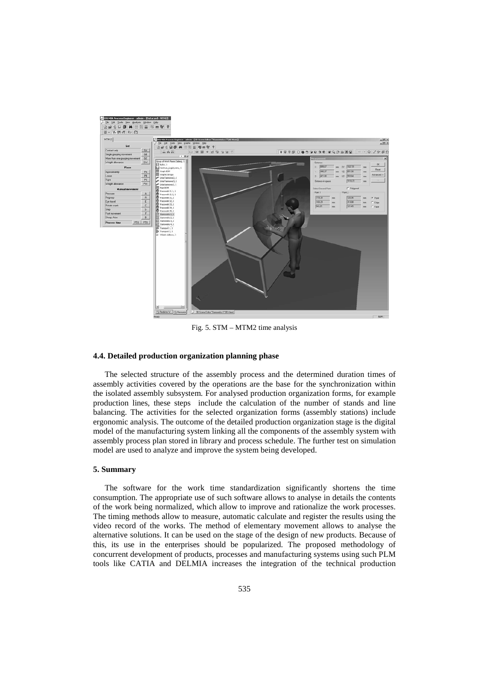

Fig. 5. STM – MTM2 time analysis

## **4.4. Detailed production organization planning phase**

The selected structure of the assembly process and the determined duration times of assembly activities covered by the operations are the base for the synchronization within the isolated assembly subsystem. For analysed production organization forms, for example production lines, these steps include the calculation of the number of stands and line balancing. The activities for the selected organization forms (assembly stations) include ergonomic analysis. The outcome of the detailed production organization stage is the digital model of the manufacturing system linking all the components of the assembly system with assembly process plan stored in library and process schedule. The further test on simulation model are used to analyze and improve the system being developed.

## **5. Summary**

The software for the work time standardization significantly shortens the time consumption. The appropriate use of such software allows to analyse in details the contents of the work being normalized, which allow to improve and rationalize the work processes. The timing methods allow to measure, automatic calculate and register the results using the video record of the works. The method of elementary movement allows to analyse the alternative solutions. It can be used on the stage of the design of new products. Because of this, its use in the enterprises should be popularized. The proposed methodology of concurrent development of products, processes and manufacturing systems using such PLM tools like CATIA and DELMIA increases the integration of the technical production